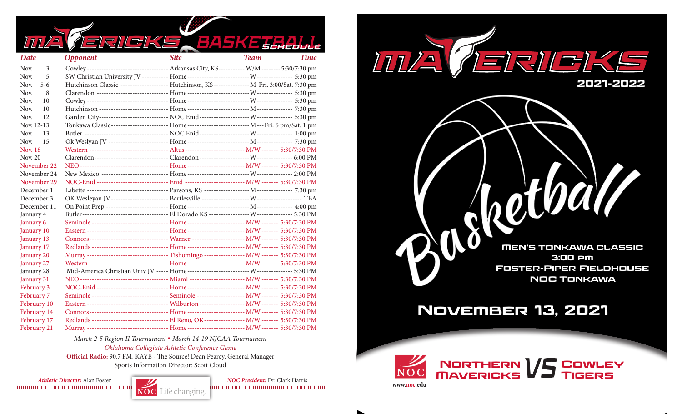| <b>RILEIKE</b><br>BASKE BEHEDULE                                                                                    |             |
|---------------------------------------------------------------------------------------------------------------------|-------------|
| <b>Site</b><br><b>Team</b><br>Date<br><b>Opponent</b>                                                               | <b>Time</b> |
| Cowley ---------------------------------- Arkansas City, KS----------- W/M -------- 5:30/7:30 pm<br>Nov.<br>3       |             |
| Nov.<br>5                                                                                                           |             |
| Hutchinson Classic ------------------- Hutchinson, KS --------------- M Fri. 3:00/Sat. 7:30 pm<br>Nov.<br>$5-6$     |             |
| Nov.<br>8                                                                                                           |             |
| Nov.<br>10                                                                                                          |             |
| Nov.<br>10                                                                                                          |             |
| 12<br>Nov.                                                                                                          |             |
| Tonkawa Classic----------------------- Home--------------------------- M---Fri. 6 pm/Sat. 1 pm<br>Nov. 12-13        |             |
| Nov.<br>13                                                                                                          |             |
| Nov.<br>15                                                                                                          |             |
| Western --------------------------------- Altus ------------------------ M/W ------- 5:30/7:30 PM<br><b>Nov. 18</b> |             |
| Nov. 20                                                                                                             |             |
| November 22                                                                                                         |             |
| November 24                                                                                                         |             |
| NOC-Enid ----------------------------- Enid ------------------------- M/W ------- 5:30/7:30 PM<br>November 29       |             |
| December 1                                                                                                          |             |
| December 3                                                                                                          |             |
| December 11                                                                                                         |             |
| Butler----------------------------------- El Dorado KS ------------------ W--------------- 5:30 PM<br>January 4     |             |
| Seminole -------------------------------- Home ----------------------- M/W ------- 5:30/7:30 PM<br>January 6        |             |
| Eastern ---------------------------------- Home ------------------------ M/W ------- 5:30/7:30 PM<br>January 10     |             |
| January 13                                                                                                          |             |
| Redlands --------------------------------- Home ------------------------ M/W ------- 5:30/7:30 PM<br>January 17     |             |
| Murray ---------------------------------- Tishomingo ----------------- M/W ------- 5:30/7:30 PM<br>January 20       |             |
| Western -------------------------------- Home ------------------------ M/W ------- 5:30/7:30 PM<br>January 27       |             |
| January 28                                                                                                          |             |
| January 31                                                                                                          |             |
| NOC-Enid ----------------------------- Home ------------------------- M/W ------- 5:30/7:30 PM<br><b>February 3</b> |             |
| Seminole -------------------------------- Seminole ------------------- M/W ------- 5:30/7:30 PM<br>February 7       |             |
| Eastern ---------------------------------- Wilburton ------------------ M/W ------- 5:30/7:30 PM<br>February 10     |             |
| Connors--------------------------------- Home------------------------- M/W ------- 5:30/7:30 PM<br>February 14      |             |
| Redlands ------------------------------- El Reno, OK---------------- M/W ------- 5:30/7:30 PM<br>February 17        |             |
| Murray --------------------------------- Home ------------------------ M/W ------- 5:30/7:30 PM<br>February 21      |             |

*March 2-5 Region II Tournament* **.** *March 14-19 NJCAA Tournament Oklahoma Collegiate Athletic Conference Game*

**Official Radio:** 90.7 FM, KAYE - The Source! Dean Pearcy, General Manager Sports Information Director: Scott Cloud

*Athletic Director:* Alan Foster *NOC President:* Dr. Clark Harris





## November 13, 2021



**www.noc.edu**